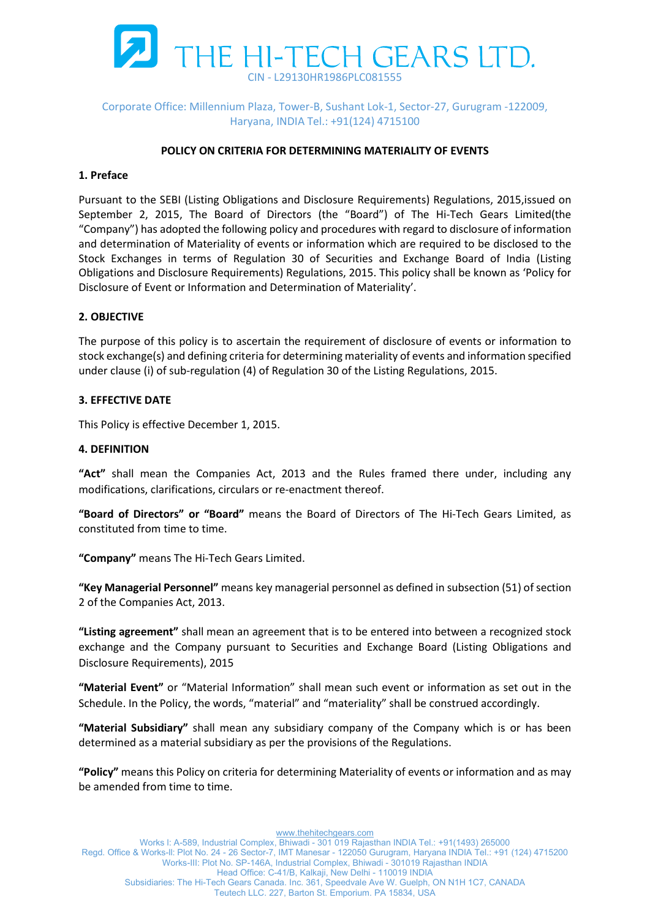

## Corporate Office: Millennium Plaza, Tower-B, Sushant Lok-1, Sector-27, Gurugram -122009, Haryana, INDIA Tel.: +91(124) 4715100

#### POLICY ON CRITERIA FOR DETERMINING MATERIALITY OF EVENTS

### 1. Preface

Pursuant to the SEBI (Listing Obligations and Disclosure Requirements) Regulations, 2015,issued on September 2, 2015, The Board of Directors (the "Board") of The Hi-Tech Gears Limited(the "Company") has adopted the following policy and procedures with regard to disclosure of information and determination of Materiality of events or information which are required to be disclosed to the Stock Exchanges in terms of Regulation 30 of Securities and Exchange Board of India (Listing Obligations and Disclosure Requirements) Regulations, 2015. This policy shall be known as 'Policy for Disclosure of Event or Information and Determination of Materiality'.

## 2. OBJECTIVE

The purpose of this policy is to ascertain the requirement of disclosure of events or information to stock exchange(s) and defining criteria for determining materiality of events and information specified under clause (i) of sub-regulation (4) of Regulation 30 of the Listing Regulations, 2015.

# 3. EFFECTIVE DATE

This Policy is effective December 1, 2015.

#### 4. DEFINITION

"Act" shall mean the Companies Act, 2013 and the Rules framed there under, including any modifications, clarifications, circulars or re-enactment thereof.

"Board of Directors" or "Board" means the Board of Directors of The Hi-Tech Gears Limited, as constituted from time to time.

"Company" means The Hi-Tech Gears Limited.

"Key Managerial Personnel" means key managerial personnel as defined in subsection (51) of section 2 of the Companies Act, 2013.

"Listing agreement" shall mean an agreement that is to be entered into between a recognized stock exchange and the Company pursuant to Securities and Exchange Board (Listing Obligations and Disclosure Requirements), 2015

"Material Event" or "Material Information" shall mean such event or information as set out in the Schedule. In the Policy, the words, "material" and "materiality" shall be construed accordingly.

"Material Subsidiary" shall mean any subsidiary company of the Company which is or has been determined as a material subsidiary as per the provisions of the Regulations.

"Policy" means this Policy on criteria for determining Materiality of events or information and as may be amended from time to time.

www.thehitechgears.com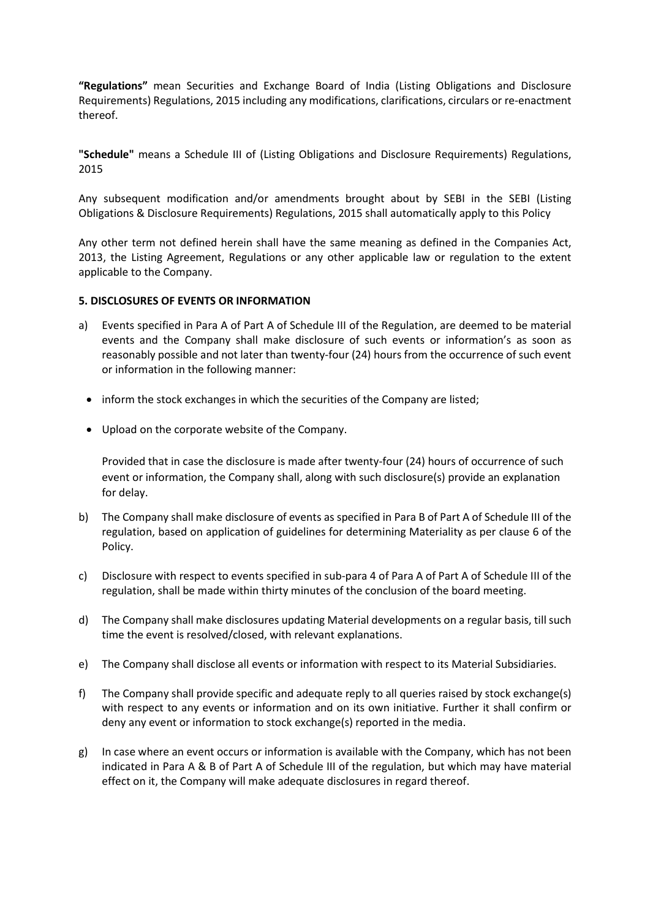"Regulations" mean Securities and Exchange Board of India (Listing Obligations and Disclosure Requirements) Regulations, 2015 including any modifications, clarifications, circulars or re-enactment thereof.

"Schedule" means a Schedule III of (Listing Obligations and Disclosure Requirements) Regulations, 2015

Any subsequent modification and/or amendments brought about by SEBI in the SEBI (Listing Obligations & Disclosure Requirements) Regulations, 2015 shall automatically apply to this Policy

Any other term not defined herein shall have the same meaning as defined in the Companies Act, 2013, the Listing Agreement, Regulations or any other applicable law or regulation to the extent applicable to the Company.

#### 5. DISCLOSURES OF EVENTS OR INFORMATION

- a) Events specified in Para A of Part A of Schedule III of the Regulation, are deemed to be material events and the Company shall make disclosure of such events or information's as soon as reasonably possible and not later than twenty-four (24) hours from the occurrence of such event or information in the following manner:
	- inform the stock exchanges in which the securities of the Company are listed;
	- Upload on the corporate website of the Company.

Provided that in case the disclosure is made after twenty-four (24) hours of occurrence of such event or information, the Company shall, along with such disclosure(s) provide an explanation for delay.

- b) The Company shall make disclosure of events as specified in Para B of Part A of Schedule III of the regulation, based on application of guidelines for determining Materiality as per clause 6 of the Policy.
- c) Disclosure with respect to events specified in sub-para 4 of Para A of Part A of Schedule III of the regulation, shall be made within thirty minutes of the conclusion of the board meeting.
- d) The Company shall make disclosures updating Material developments on a regular basis, till such time the event is resolved/closed, with relevant explanations.
- e) The Company shall disclose all events or information with respect to its Material Subsidiaries.
- f) The Company shall provide specific and adequate reply to all queries raised by stock exchange(s) with respect to any events or information and on its own initiative. Further it shall confirm or deny any event or information to stock exchange(s) reported in the media.
- g) In case where an event occurs or information is available with the Company, which has not been indicated in Para A & B of Part A of Schedule III of the regulation, but which may have material effect on it, the Company will make adequate disclosures in regard thereof.